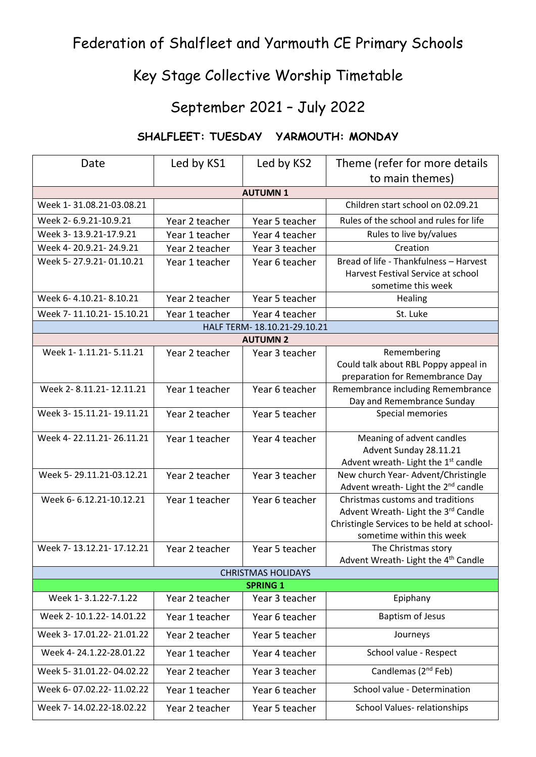## Federation of Shalfleet and Yarmouth CE Primary Schools

## Key Stage Collective Worship Timetable

## September 2021 – July 2022

## **SHALFLEET: TUESDAY YARMOUTH: MONDAY**

| Date                                            | Led by KS1     | Led by KS2     | Theme (refer for more details                                                          |  |  |
|-------------------------------------------------|----------------|----------------|----------------------------------------------------------------------------------------|--|--|
|                                                 |                |                | to main themes)                                                                        |  |  |
| <b>AUTUMN1</b>                                  |                |                |                                                                                        |  |  |
| Week 1-31.08.21-03.08.21                        |                |                | Children start school on 02.09.21                                                      |  |  |
| Week 2-6.9.21-10.9.21                           | Year 2 teacher | Year 5 teacher | Rules of the school and rules for life                                                 |  |  |
| Week 3-13.9.21-17.9.21                          | Year 1 teacher | Year 4 teacher | Rules to live by/values                                                                |  |  |
| Week 4-20.9.21-24.9.21                          | Year 2 teacher | Year 3 teacher | Creation                                                                               |  |  |
| Week 5-27.9.21-01.10.21                         | Year 1 teacher | Year 6 teacher | Bread of life - Thankfulness - Harvest                                                 |  |  |
|                                                 |                |                | Harvest Festival Service at school                                                     |  |  |
| Week 6-4.10.21-8.10.21                          | Year 2 teacher |                | sometime this week                                                                     |  |  |
|                                                 |                | Year 5 teacher | Healing                                                                                |  |  |
| Week 7-11.10.21-15.10.21                        | Year 1 teacher | Year 4 teacher | St. Luke                                                                               |  |  |
| HALF TERM- 18.10.21-29.10.21<br><b>AUTUMN 2</b> |                |                |                                                                                        |  |  |
| Week 1-1.11.21-5.11.21                          | Year 2 teacher | Year 3 teacher | Remembering                                                                            |  |  |
|                                                 |                |                | Could talk about RBL Poppy appeal in                                                   |  |  |
|                                                 |                |                | preparation for Remembrance Day                                                        |  |  |
| Week 2-8.11.21-12.11.21                         | Year 1 teacher | Year 6 teacher | Remembrance including Remembrance                                                      |  |  |
|                                                 |                |                | Day and Remembrance Sunday                                                             |  |  |
| Week 3-15.11.21-19.11.21                        | Year 2 teacher | Year 5 teacher | Special memories                                                                       |  |  |
| Week 4-22.11.21-26.11.21                        | Year 1 teacher | Year 4 teacher | Meaning of advent candles                                                              |  |  |
|                                                 |                |                | Advent Sunday 28.11.21                                                                 |  |  |
|                                                 |                |                | Advent wreath- Light the 1st candle                                                    |  |  |
| Week 5-29.11.21-03.12.21                        | Year 2 teacher | Year 3 teacher | New church Year- Advent/Christingle<br>Advent wreath- Light the 2 <sup>nd</sup> candle |  |  |
| Week 6-6.12.21-10.12.21                         | Year 1 teacher | Year 6 teacher | Christmas customs and traditions                                                       |  |  |
|                                                 |                |                | Advent Wreath- Light the 3rd Candle                                                    |  |  |
|                                                 |                |                | Christingle Services to be held at school-                                             |  |  |
|                                                 |                |                | sometime within this week                                                              |  |  |
| Week 7-13.12.21-17.12.21                        | Year 2 teacher | Year 5 teacher | The Christmas story                                                                    |  |  |
|                                                 |                |                | Advent Wreath- Light the 4 <sup>th</sup> Candle                                        |  |  |
| <b>CHRISTMAS HOLIDAYS</b><br><b>SPRING 1</b>    |                |                |                                                                                        |  |  |
| Week 1-3.1.22-7.1.22                            | Year 2 teacher | Year 3 teacher | Epiphany                                                                               |  |  |
| Week 2-10.1.22-14.01.22                         | Year 1 teacher | Year 6 teacher | <b>Baptism of Jesus</b>                                                                |  |  |
| Week 3-17.01.22-21.01.22                        | Year 2 teacher | Year 5 teacher | Journeys                                                                               |  |  |
| Week 4-24.1.22-28.01.22                         | Year 1 teacher | Year 4 teacher | School value - Respect                                                                 |  |  |
| Week 5-31.01.22-04.02.22                        | Year 2 teacher | Year 3 teacher | Candlemas (2 <sup>nd</sup> Feb)                                                        |  |  |
| Week 6-07.02.22-11.02.22                        | Year 1 teacher | Year 6 teacher | School value - Determination                                                           |  |  |
| Week 7-14.02.22-18.02.22                        | Year 2 teacher | Year 5 teacher | School Values-relationships                                                            |  |  |